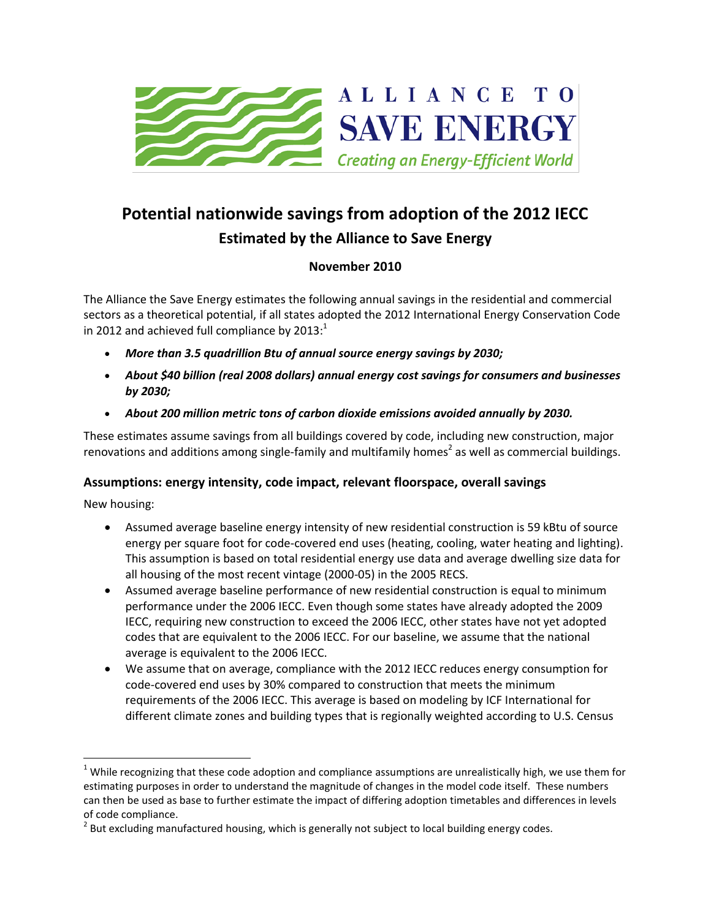

## **Potential nationwide savings from adoption of the 2012 IECC Estimated by the Alliance to Save Energy**

## **November 2010**

The Alliance the Save Energy estimates the following annual savings in the residential and commercial sectors as a theoretical potential, if all states adopted the 2012 International Energy Conservation Code in 2012 and achieved full compliance by 2013:<sup>1</sup>

- *More than 3.5 quadrillion Btu of annual source energy savings by 2030;*
- *About \$40 billion (real 2008 dollars) annual energy cost savings for consumers and businesses by 2030;*
- *About 200 million metric tons of carbon dioxide emissions avoided annually by 2030.*

These estimates assume savings from all buildings covered by code, including new construction, major renovations and additions among single-family and multifamily homes<sup>2</sup> as well as commercial buildings.

## **Assumptions: energy intensity, code impact, relevant floorspace, overall savings**

New housing:

l

- Assumed average baseline energy intensity of new residential construction is 59 kBtu of source energy per square foot for code-covered end uses (heating, cooling, water heating and lighting). This assumption is based on total residential energy use data and average dwelling size data for all housing of the most recent vintage (2000-05) in the 2005 RECS.
- Assumed average baseline performance of new residential construction is equal to minimum performance under the 2006 IECC. Even though some states have already adopted the 2009 IECC, requiring new construction to exceed the 2006 IECC, other states have not yet adopted codes that are equivalent to the 2006 IECC. For our baseline, we assume that the national average is equivalent to the 2006 IECC.
- We assume that on average, compliance with the 2012 IECC reduces energy consumption for code-covered end uses by 30% compared to construction that meets the minimum requirements of the 2006 IECC. This average is based on modeling by ICF International for different climate zones and building types that is regionally weighted according to U.S. Census

 $1$  While recognizing that these code adoption and compliance assumptions are unrealistically high, we use them for estimating purposes in order to understand the magnitude of changes in the model code itself. These numbers can then be used as base to further estimate the impact of differing adoption timetables and differences in levels of code compliance.

 $^{2}$  But excluding manufactured housing, which is generally not subject to local building energy codes.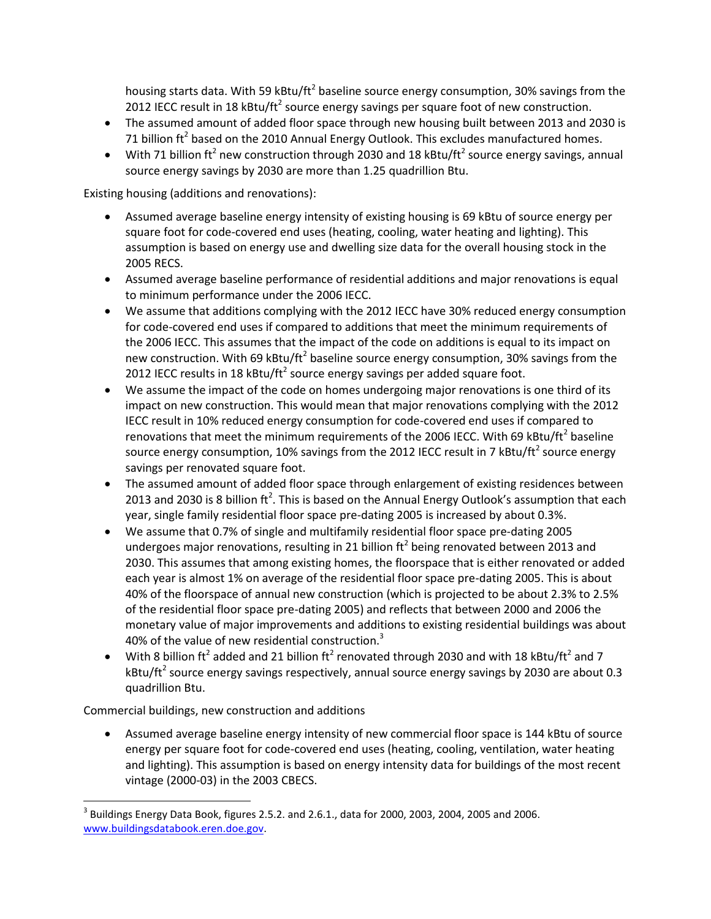housing starts data. With 59 kBtu/ft<sup>2</sup> baseline source energy consumption, 30% savings from the 2012 IECC result in 18 kBtu/ft<sup>2</sup> source energy savings per square foot of new construction.

- The assumed amount of added floor space through new housing built between 2013 and 2030 is 71 billion ft<sup>2</sup> based on the 2010 Annual Energy Outlook. This excludes manufactured homes.
- With 71 billion ft<sup>2</sup> new construction through 2030 and 18 kBtu/ft<sup>2</sup> source energy savings, annual source energy savings by 2030 are more than 1.25 quadrillion Btu.

Existing housing (additions and renovations):

- Assumed average baseline energy intensity of existing housing is 69 kBtu of source energy per square foot for code-covered end uses (heating, cooling, water heating and lighting). This assumption is based on energy use and dwelling size data for the overall housing stock in the 2005 RECS.
- Assumed average baseline performance of residential additions and major renovations is equal to minimum performance under the 2006 IECC.
- We assume that additions complying with the 2012 IECC have 30% reduced energy consumption for code-covered end uses if compared to additions that meet the minimum requirements of the 2006 IECC. This assumes that the impact of the code on additions is equal to its impact on new construction. With 69 kBtu/ft<sup>2</sup> baseline source energy consumption, 30% savings from the 2012 IECC results in 18 kBtu/ft<sup>2</sup> source energy savings per added square foot.
- We assume the impact of the code on homes undergoing major renovations is one third of its impact on new construction. This would mean that major renovations complying with the 2012 IECC result in 10% reduced energy consumption for code-covered end uses if compared to renovations that meet the minimum requirements of the 2006 IECC. With 69 kBtu/ft<sup>2</sup> baseline source energy consumption, 10% savings from the 2012 IECC result in 7 kBtu/ft<sup>2</sup> source energy savings per renovated square foot.
- The assumed amount of added floor space through enlargement of existing residences between 2013 and 2030 is 8 billion ft<sup>2</sup>. This is based on the Annual Energy Outlook's assumption that each year, single family residential floor space pre-dating 2005 is increased by about 0.3%.
- We assume that 0.7% of single and multifamily residential floor space pre-dating 2005 undergoes major renovations, resulting in 21 billion ft<sup>2</sup> being renovated between 2013 and 2030. This assumes that among existing homes, the floorspace that is either renovated or added each year is almost 1% on average of the residential floor space pre-dating 2005. This is about 40% of the floorspace of annual new construction (which is projected to be about 2.3% to 2.5% of the residential floor space pre-dating 2005) and reflects that between 2000 and 2006 the monetary value of major improvements and additions to existing residential buildings was about 40% of the value of new residential construction.<sup>3</sup>
- With 8 billion ft<sup>2</sup> added and 21 billion ft<sup>2</sup> renovated through 2030 and with 18 kBtu/ft<sup>2</sup> and 7 kBtu/ft<sup>2</sup> source energy savings respectively, annual source energy savings by 2030 are about 0.3 quadrillion Btu.

Commercial buildings, new construction and additions

l

 Assumed average baseline energy intensity of new commercial floor space is 144 kBtu of source energy per square foot for code-covered end uses (heating, cooling, ventilation, water heating and lighting). This assumption is based on energy intensity data for buildings of the most recent vintage (2000-03) in the 2003 CBECS.

 $^3$  Buildings Energy Data Book, figures 2.5.2. and 2.6.1., data for 2000, 2003, 2004, 2005 and 2006. [www.buildingsdatabook.eren.doe.gov.](http://www.buildingsdatabook.eren.doe.gov/)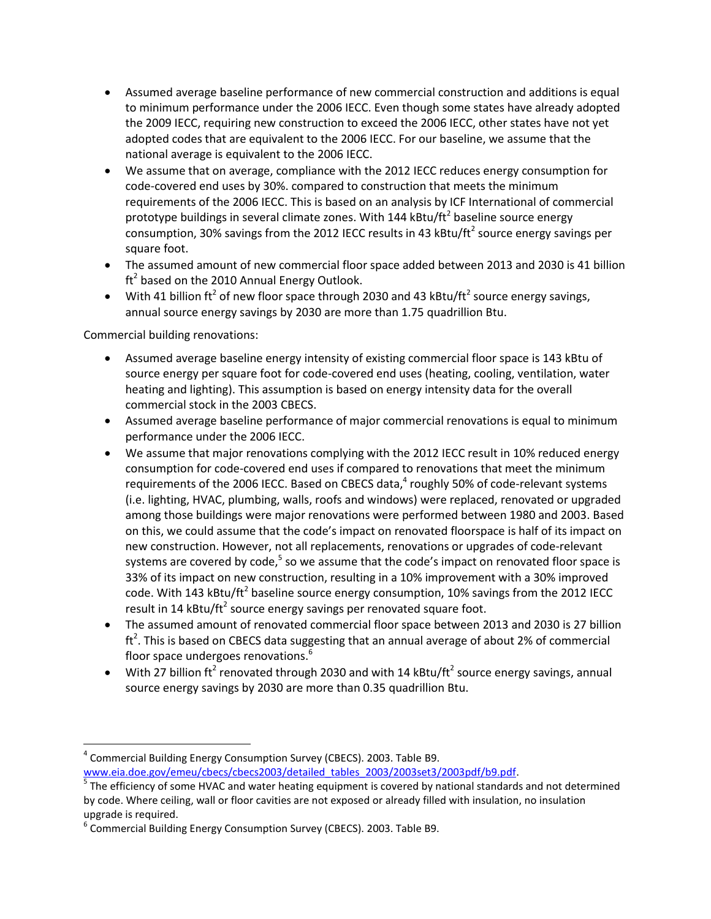- Assumed average baseline performance of new commercial construction and additions is equal to minimum performance under the 2006 IECC. Even though some states have already adopted the 2009 IECC, requiring new construction to exceed the 2006 IECC, other states have not yet adopted codes that are equivalent to the 2006 IECC. For our baseline, we assume that the national average is equivalent to the 2006 IECC.
- We assume that on average, compliance with the 2012 IECC reduces energy consumption for code-covered end uses by 30%. compared to construction that meets the minimum requirements of the 2006 IECC. This is based on an analysis by ICF International of commercial prototype buildings in several climate zones. With 144 kBtu/ft<sup>2</sup> baseline source energy consumption, 30% savings from the 2012 IECC results in 43 kBtu/ft<sup>2</sup> source energy savings per square foot.
- The assumed amount of new commercial floor space added between 2013 and 2030 is 41 billion  ${\rm ft}^2$  based on the 2010 Annual Energy Outlook.
- With 41 billion ft<sup>2</sup> of new floor space through 2030 and 43 kBtu/ft<sup>2</sup> source energy savings, annual source energy savings by 2030 are more than 1.75 quadrillion Btu.

Commercial building renovations:

- Assumed average baseline energy intensity of existing commercial floor space is 143 kBtu of source energy per square foot for code-covered end uses (heating, cooling, ventilation, water heating and lighting). This assumption is based on energy intensity data for the overall commercial stock in the 2003 CBECS.
- Assumed average baseline performance of major commercial renovations is equal to minimum performance under the 2006 IECC.
- We assume that major renovations complying with the 2012 IECC result in 10% reduced energy consumption for code-covered end uses if compared to renovations that meet the minimum requirements of the 2006 IECC. Based on CBECS data,<sup>4</sup> roughly 50% of code-relevant systems (i.e. lighting, HVAC, plumbing, walls, roofs and windows) were replaced, renovated or upgraded among those buildings were major renovations were performed between 1980 and 2003. Based on this, we could assume that the code's impact on renovated floorspace is half of its impact on new construction. However, not all replacements, renovations or upgrades of code-relevant systems are covered by code,<sup>5</sup> so we assume that the code's impact on renovated floor space is 33% of its impact on new construction, resulting in a 10% improvement with a 30% improved code. With 143 kBtu/ft<sup>2</sup> baseline source energy consumption, 10% savings from the 2012 IECC result in 14 kBtu/ft<sup>2</sup> source energy savings per renovated square foot.
- The assumed amount of renovated commercial floor space between 2013 and 2030 is 27 billion  $\text{ft}^2$ . This is based on CBECS data suggesting that an annual average of about 2% of commercial floor space undergoes renovations.<sup>6</sup>
- With 27 billion ft<sup>2</sup> renovated through 2030 and with 14 kBtu/ft<sup>2</sup> source energy savings, annual source energy savings by 2030 are more than 0.35 quadrillion Btu.

 $\overline{a}$ <sup>4</sup> Commercial Building Energy Consumption Survey (CBECS). 2003. Table B9. [www.eia.doe.gov/emeu/cbecs/cbecs2003/detailed\\_tables\\_2003/2003set3/2003pdf/b9.pdf.](http://www.eia.doe.gov/emeu/cbecs/cbecs2003/detailed_tables_2003/2003set3/2003pdf/b9.pdf)

<sup>&</sup>lt;sup>5</sup> The efficiency of some HVAC and water heating equipment is covered by national standards and not determined by code. Where ceiling, wall or floor cavities are not exposed or already filled with insulation, no insulation upgrade is required.

<sup>6</sup> Commercial Building Energy Consumption Survey (CBECS). 2003. Table B9.